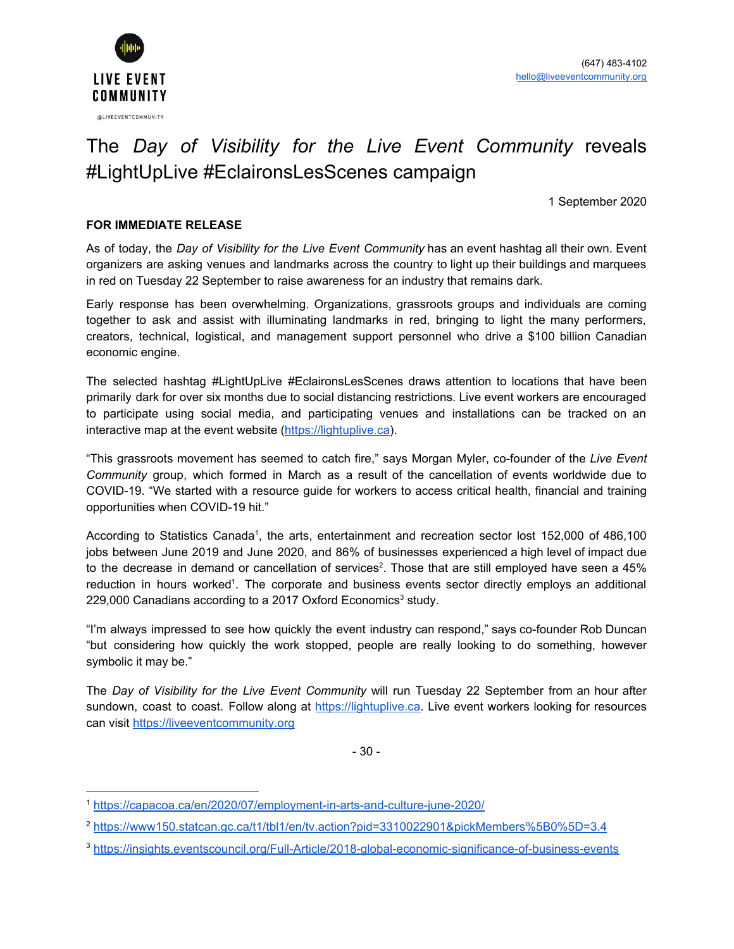

## The *Day of Visibility for the Live Event Community* reveals #LightUpLive #EclaironsLesScenes campaign

1 September 2020

#### **FOR IMMEDIATE RELEASE**

As of today, the *Day of Visibility for the Live Event Community* has an event hashtag all their own. Event organizers are asking venues and landmarks across the country to light up their buildings and marquees in red on Tuesday 22 September to raise awareness for an industry that remains dark.

Early response has been overwhelming. Organizations, grassroots groups and individuals are coming together to ask and assist with illuminating landmarks in red, bringing to light the many performers, creators, technical, logistical, and management support personnel who drive a \$100 billion Canadian economic engine.

The selected hashtag #LightUpLive #EclaironsLesScenes draws attention to locations that have been primarily dark for over six months due to social distancing restrictions. Live event workers are encouraged to participate using social media, and participating venues and installations can be tracked on an interactive map at the event website ([https://lightuplive.ca\)](https://lightuplive.ca/).

"This grassroots movement has seemed to catch fire," says Morgan Myler, co-founder of the *Live Event Community* group, which formed in March as a result of the cancellation of events worldwide due to COVID-19. "We started with a resource guide for workers to access critical health, financial and training opportunities when COVID-19 hit."

According to Statistics Canada<sup>1</sup>, the arts, entertainment and recreation sector lost 152,000 of 486,100 jobs between June 2019 and June 2020, and 86% of businesses experienced a high level of impact due to the decrease in demand or cancellation of services<sup>2</sup>. Those that are still employed have seen a 45% reduction in hours worked<sup>1</sup>. The corporate and business events sector directly employs an additional 229,000 Canadians according to a 2017 Oxford Economics<sup>3</sup> study.

"I'm always impressed to see how quickly the event industry can respond," says co-founder Rob Duncan "but considering how quickly the work stopped, people are really looking to do something, however symbolic it may be."

The *Day of Visibility for the Live Event Community* will run Tuesday 22 September from an hour after sundown, coast to coast. Follow along at [https://lightuplive.ca.](https://lightuplive.ca/) Live event workers looking for resources can visit [https://liveeventcommunity.org](https://liveeventcommunity.org/)

- 30 -

<sup>1</sup> <https://capacoa.ca/en/2020/07/employment-in-arts-and-culture-june-2020/>

<sup>2</sup> <https://www150.statcan.gc.ca/t1/tbl1/en/tv.action?pid=3310022901&pickMembers%5B0%5D=3.4>

<sup>3</sup> <https://insights.eventscouncil.org/Full-Article/2018-global-economic-significance-of-business-events>